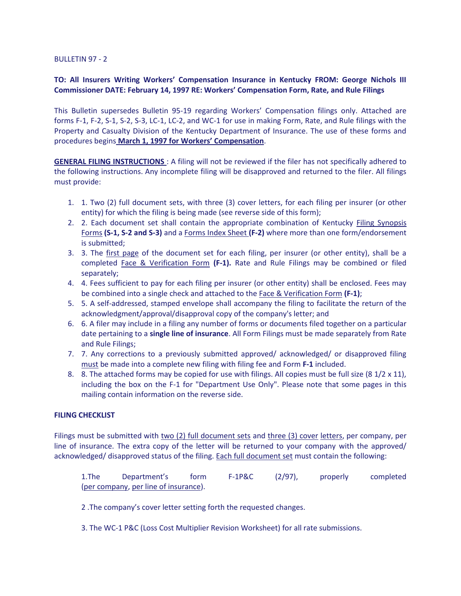### BULLETIN 97 - 2

## **TO: All Insurers Writing Workers' Compensation Insurance in Kentucky FROM: George Nichols III Commissioner DATE: February 14, 1997 RE: Workers' Compensation Form, Rate, and Rule Filings**

This Bulletin supersedes Bulletin 95-19 regarding Workers' Compensation filings only. Attached are forms F-1, F-2, S-1, S-2, S-3, LC-1, LC-2, and WC-1 for use in making Form, Rate, and Rule filings with the Property and Casualty Division of the Kentucky Department of Insurance. The use of these forms and procedures begins **March 1, 1997 for Workers' Compensation**.

**GENERAL FILING INSTRUCTIONS** : A filing will not be reviewed if the filer has not specifically adhered to the following instructions. Any incomplete filing will be disapproved and returned to the filer. All filings must provide:

- 1. 1. Two (2) full document sets, with three (3) cover letters, for each filing per insurer (or other entity) for which the filing is being made (see reverse side of this form);
- 2. 2. Each document set shall contain the appropriate combination of Kentucky Filing Synopsis Forms **(S-1, S-2 and S-3)** and a Forms Index Sheet **(F-2)** where more than one form/endorsement is submitted;
- 3. 3. The first page of the document set for each filing, per insurer (or other entity), shall be a completed Face & Verification Form **(F-1).** Rate and Rule Filings may be combined or filed separately;
- 4. 4. Fees sufficient to pay for each filing per insurer (or other entity) shall be enclosed. Fees may be combined into a single check and attached to the Face & Verification Form **(F-1)**;
- 5. 5. A self-addressed, stamped envelope shall accompany the filing to facilitate the return of the acknowledgment/approval/disapproval copy of the company's letter; and
- 6. 6. A filer may include in a filing any number of forms or documents filed together on a particular date pertaining to a **single line of insurance**. All Form Filings must be made separately from Rate and Rule Filings;
- 7. 7. Any corrections to a previously submitted approved/ acknowledged/ or disapproved filing must be made into a complete new filing with filing fee and Form **F-1** included.
- 8. 8. The attached forms may be copied for use with filings. All copies must be full size (8  $1/2 \times 11$ ), including the box on the F-1 for "Department Use Only". Please note that some pages in this mailing contain information on the reverse side.

## **FILING CHECKLIST**

Filings must be submitted with two (2) full document sets and three (3) cover letters, per company, per line of insurance. The extra copy of the letter will be returned to your company with the approved/ acknowledged/ disapproved status of the filing. Each full document set must contain the following:

1.The Department's form F-1P&C (2/97), properly completed (per company, per line of insurance).

2 .The company's cover letter setting forth the requested changes.

3. The WC-1 P&C (Loss Cost Multiplier Revision Worksheet) for all rate submissions.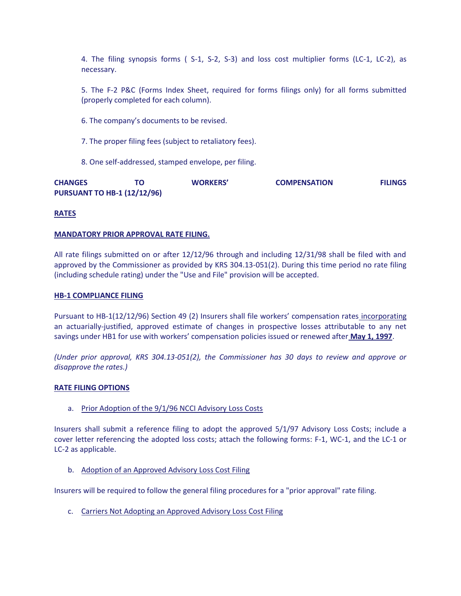4. The filing synopsis forms ( S-1, S-2, S-3) and loss cost multiplier forms (LC-1, LC-2), as necessary.

5. The F-2 P&C (Forms Index Sheet, required for forms filings only) for all forms submitted (properly completed for each column).

- 6. The company's documents to be revised.
- 7. The proper filing fees (subject to retaliatory fees).
- 8. One self-addressed, stamped envelope, per filing.

| <b>CHANGES</b>                     | ΤO | <b>WORKERS'</b> | <b>COMPENSATION</b> | <b>FILINGS</b> |
|------------------------------------|----|-----------------|---------------------|----------------|
| <b>PURSUANT TO HB-1 (12/12/96)</b> |    |                 |                     |                |

## **RATES**

### **MANDATORY PRIOR APPROVAL RATE FILING.**

All rate filings submitted on or after 12/12/96 through and including 12/31/98 shall be filed with and approved by the Commissioner as provided by KRS 304.13-051(2). During this time period no rate filing (including schedule rating) under the "Use and File" provision will be accepted.

#### **HB-1 COMPLIANCE FILING**

Pursuant to HB-1(12/12/96) Section 49 (2) Insurers shall file workers' compensation rates incorporating an actuarially-justified, approved estimate of changes in prospective losses attributable to any net savings under HB1 for use with workers' compensation policies issued or renewed after **May 1, 1997**.

*(Under prior approval, KRS 304.13-051(2), the Commissioner has 30 days to review and approve or disapprove the rates.)* 

### **RATE FILING OPTIONS**

a. Prior Adoption of the 9/1/96 NCCI Advisory Loss Costs

Insurers shall submit a reference filing to adopt the approved 5/1/97 Advisory Loss Costs; include a cover letter referencing the adopted loss costs; attach the following forms: F-1, WC-1, and the LC-1 or LC-2 as applicable.

b. Adoption of an Approved Advisory Loss Cost Filing

Insurers will be required to follow the general filing procedures for a "prior approval" rate filing.

c. Carriers Not Adopting an Approved Advisory Loss Cost Filing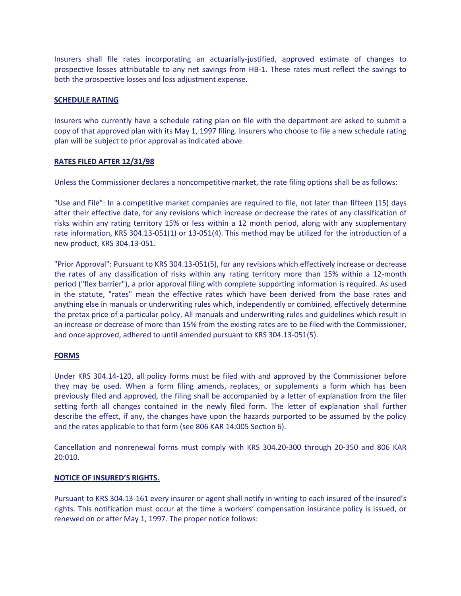Insurers shall file rates incorporating an actuarially-justified, approved estimate of changes to prospective losses attributable to any net savings from HB-1. These rates must reflect the savings to both the prospective losses and loss adjustment expense.

### **SCHEDULE RATING**

Insurers who currently have a schedule rating plan on file with the department are asked to submit a copy of that approved plan with its May 1, 1997 filing. Insurers who choose to file a new schedule rating plan will be subject to prior approval as indicated above.

## **RATES FILED AFTER 12/31/98**

Unless the Commissioner declares a noncompetitive market, the rate filing options shall be as follows:

"Use and File": In a competitive market companies are required to file, not later than fifteen (15) days after their effective date, for any revisions which increase or decrease the rates of any classification of risks within any rating territory 15% or less within a 12 month period, along with any supplementary rate information, KRS 304.13-051(1) or 13-051(4). This method may be utilized for the introduction of a new product, KRS 304.13-051.

"Prior Approval": Pursuant to KRS 304.13-051(5), for any revisions which effectively increase or decrease the rates of any classification of risks within any rating territory more than 15% within a 12-month period ("flex barrier"), a prior approval filing with complete supporting information is required. As used in the statute, "rates" mean the effective rates which have been derived from the base rates and anything else in manuals or underwriting rules which, independently or combined, effectively determine the pretax price of a particular policy. All manuals and underwriting rules and guidelines which result in an increase or decrease of more than 15% from the existing rates are to be filed with the Commissioner, and once approved, adhered to until amended pursuant to KRS 304.13-051(5).

## **FORMS**

Under KRS 304.14-120, all policy forms must be filed with and approved by the Commissioner before they may be used. When a form filing amends, replaces, or supplements a form which has been previously filed and approved, the filing shall be accompanied by a letter of explanation from the filer setting forth all changes contained in the newly filed form. The letter of explanation shall further describe the effect, if any, the changes have upon the hazards purported to be assumed by the policy and the rates applicable to that form (see 806 KAR 14:005 Section 6).

Cancellation and nonrenewal forms must comply with KRS 304.20-300 through 20-350 and 806 KAR 20:010.

### **NOTICE OF INSURED'S RIGHTS.**

Pursuant to KRS 304.13-161 every insurer or agent shall notify in writing to each insured of the insured's rights. This notification must occur at the time a workers' compensation insurance policy is issued, or renewed on or after May 1, 1997. The proper notice follows: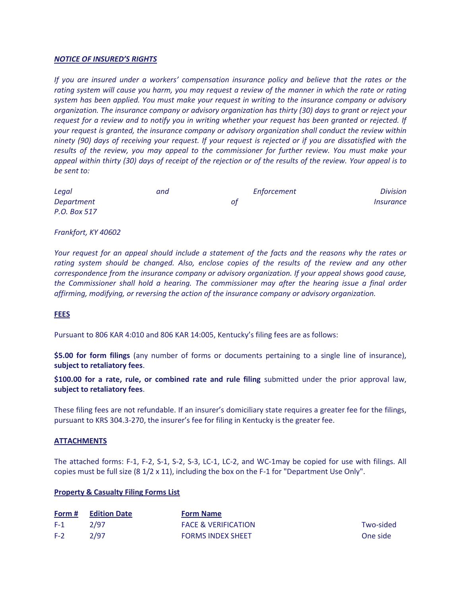### *NOTICE OF INSURED'S RIGHTS*

*If you are insured under a workers' compensation insurance policy and believe that the rates or the rating system will cause you harm, you may request a review of the manner in which the rate or rating system has been applied. You must make your request in writing to the insurance company or advisory organization. The insurance company or advisory organization has thirty (30) days to grant or reject your request for a review and to notify you in writing whether your request has been granted or rejected. If your request is granted, the insurance company or advisory organization shall conduct the review within ninety (90) days of receiving your request. If your request is rejected or if you are dissatisfied with the results of the review, you may appeal to the commissioner for further review. You must make your appeal within thirty (30) days of receipt of the rejection or of the results of the review. Your appeal is to be sent to:* 

| Legal        | and | Enforcement | <b>Division</b>                |
|--------------|-----|-------------|--------------------------------|
| Department   |     | оt          | <i><u><b>Insurance</b></u></i> |
| P.O. Box 517 |     |             |                                |

#### *Frankfort, KY 40602*

*Your request for an appeal should include a statement of the facts and the reasons why the rates or rating system should be changed. Also, enclose copies of the results of the review and any other correspondence from the insurance company or advisory organization. If your appeal shows good cause, the Commissioner shall hold a hearing. The commissioner may after the hearing issue a final order affirming, modifying, or reversing the action of the insurance company or advisory organization.* 

## **FEES**

Pursuant to 806 KAR 4:010 and 806 KAR 14:005, Kentucky's filing fees are as follows:

**\$5.00 for form filings** (any number of forms or documents pertaining to a single line of insurance), **subject to retaliatory fees**.

**\$100.00 for a rate, rule, or combined rate and rule filing** submitted under the prior approval law, **subject to retaliatory fees**.

These filing fees are not refundable. If an insurer's domiciliary state requires a greater fee for the filings, pursuant to KRS 304.3-270, the insurer's fee for filing in Kentucky is the greater fee.

#### **ATTACHMENTS**

The attached forms: F-1, F-2, S-1, S-2, S-3, LC-1, LC-2, and WC-1may be copied for use with filings. All copies must be full size (8 1/2 x 11), including the box on the F-1 for "Department Use Only".

#### **Property & Casualty Filing Forms List**

|       | <b>Form # Edition Date</b> | <b>Form Name</b>               |           |
|-------|----------------------------|--------------------------------|-----------|
| $F-1$ | 2/97                       | <b>FACE &amp; VERIFICATION</b> | Two-sided |
| $F-2$ | 2/97                       | <b>FORMS INDEX SHEET</b>       | One side  |